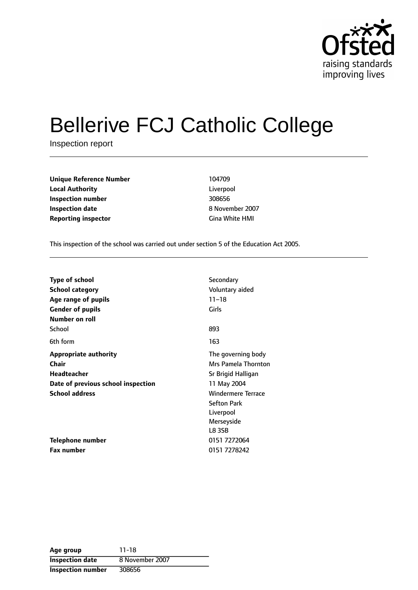

# Bellerive FCJ Catholic College

Inspection report

**Unique Reference Number** 104709 **Local Authority** Liverpool **Inspection number** 308656 **Inspection date** 8 November 2007 **Reporting inspector** Gina White HMI

This inspection of the school was carried out under section 5 of the Education Act 2005.

| <b>Type of school</b>              | Secondary                 |
|------------------------------------|---------------------------|
| <b>School category</b>             | Voluntary aided           |
| Age range of pupils                | $11 - 18$                 |
| <b>Gender of pupils</b>            | Girls                     |
| Number on roll                     |                           |
| School                             | 893                       |
| 6th form                           | 163                       |
| <b>Appropriate authority</b>       | The governing body        |
| Chair                              | Mrs Pamela Thornton       |
| <b>Headteacher</b>                 | Sr Brigid Halligan        |
| Date of previous school inspection | 11 May 2004               |
| <b>School address</b>              | <b>Windermere Terrace</b> |
|                                    | <b>Sefton Park</b>        |
|                                    | Liverpool                 |
|                                    | Merseyside                |
|                                    | L8 3SB                    |
| <b>Telephone number</b>            | 0151 7272064              |
| Fax number                         | 0151 7278242              |

**Age group** 11-18 **Inspection date** 8 November 2007 **Inspection number** 308656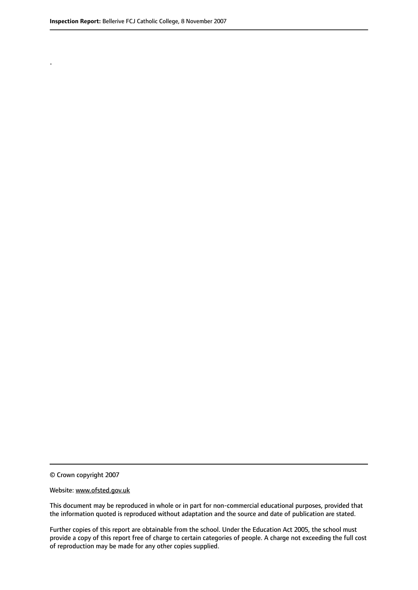.

© Crown copyright 2007

#### Website: www.ofsted.gov.uk

This document may be reproduced in whole or in part for non-commercial educational purposes, provided that the information quoted is reproduced without adaptation and the source and date of publication are stated.

Further copies of this report are obtainable from the school. Under the Education Act 2005, the school must provide a copy of this report free of charge to certain categories of people. A charge not exceeding the full cost of reproduction may be made for any other copies supplied.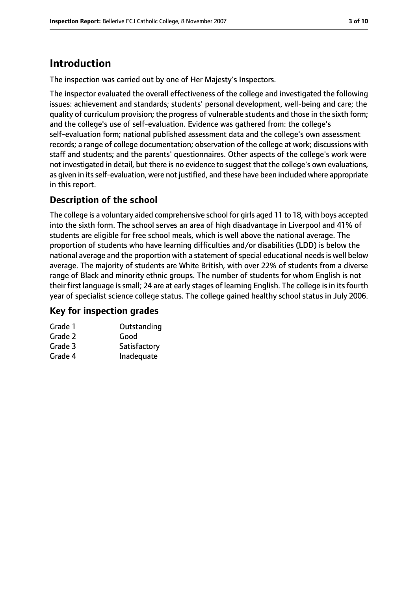# **Introduction**

The inspection was carried out by one of Her Majesty's Inspectors.

The inspector evaluated the overall effectiveness of the college and investigated the following issues: achievement and standards; students' personal development, well-being and care; the quality of curriculum provision; the progress of vulnerable students and those in the sixth form; and the college's use of self-evaluation. Evidence was gathered from: the college's self-evaluation form; national published assessment data and the college's own assessment records; a range of college documentation; observation of the college at work; discussions with staff and students; and the parents' questionnaires. Other aspects of the college's work were not investigated in detail, but there is no evidence to suggest that the college's own evaluations, as given in its self-evaluation, were not justified, and these have been included where appropriate in this report.

## **Description of the school**

The college is a voluntary aided comprehensive school for girls aged 11 to 18, with boys accepted into the sixth form. The school serves an area of high disadvantage in Liverpool and 41% of students are eligible for free school meals, which is well above the national average. The proportion of students who have learning difficulties and/or disabilities (LDD) is below the national average and the proportion with a statement of special educational needs is well below average. The majority of students are White British, with over 22% of students from a diverse range of Black and minority ethnic groups. The number of students for whom English is not their first language is small; 24 are at early stages of learning English. The college is in its fourth year of specialist science college status. The college gained healthy school status in July 2006.

#### **Key for inspection grades**

| Grade 1 | Outstanding  |
|---------|--------------|
| Grade 2 | Good         |
| Grade 3 | Satisfactory |
| Grade 4 | Inadequate   |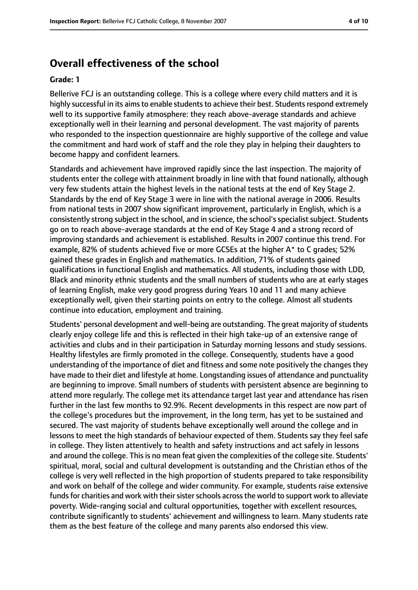## **Overall effectiveness of the school**

#### **Grade: 1**

Bellerive FCJ is an outstanding college. This is a college where every child matters and it is highly successful in its aims to enable students to achieve their best. Students respond extremely well to its supportive family atmosphere: they reach above-average standards and achieve exceptionally well in their learning and personal development. The vast majority of parents who responded to the inspection questionnaire are highly supportive of the college and value the commitment and hard work of staff and the role they play in helping their daughters to become happy and confident learners.

Standards and achievement have improved rapidly since the last inspection. The majority of students enter the college with attainment broadly in line with that found nationally, although very few students attain the highest levels in the national tests at the end of Key Stage 2. Standards by the end of Key Stage 3 were in line with the national average in 2006. Results from national tests in 2007 show significant improvement, particularly in English, which is a consistently strong subject in the school, and in science, the school's specialist subject. Students go on to reach above-average standards at the end of Key Stage 4 and a strong record of improving standards and achievement is established. Results in 2007 continue this trend. For example, 82% of students achieved five or more GCSEs at the higher A\* to C grades; 52% gained these grades in English and mathematics. In addition, 71% of students gained qualifications in functional English and mathematics. All students, including those with LDD, Black and minority ethnic students and the small numbers of students who are at early stages of learning English, make very good progress during Years 10 and 11 and many achieve exceptionally well, given their starting points on entry to the college. Almost all students continue into education, employment and training.

Students' personal development and well-being are outstanding. The great majority of students clearly enjoy college life and this is reflected in their high take-up of an extensive range of activities and clubs and in their participation in Saturday morning lessons and study sessions. Healthy lifestyles are firmly promoted in the college. Consequently, students have a good understanding of the importance of diet and fitness and some note positively the changes they have made to their diet and lifestyle at home. Longstanding issues of attendance and punctuality are beginning to improve. Small numbers of students with persistent absence are beginning to attend more regularly. The college met its attendance target last year and attendance has risen further in the last few months to 92.9%. Recent developments in this respect are now part of the college's procedures but the improvement, in the long term, has yet to be sustained and secured. The vast majority of students behave exceptionally well around the college and in lessons to meet the high standards of behaviour expected of them. Students say they feel safe in college. They listen attentively to health and safety instructions and act safely in lessons and around the college. This is no mean feat given the complexities of the college site. Students' spiritual, moral, social and cultural development is outstanding and the Christian ethos of the college is very well reflected in the high proportion of students prepared to take responsibility and work on behalf of the college and wider community. For example, students raise extensive funds for charities and work with their sister schools across the world to support work to alleviate poverty. Wide-ranging social and cultural opportunities, together with excellent resources, contribute significantly to students' achievement and willingness to learn. Many students rate them as the best feature of the college and many parents also endorsed this view.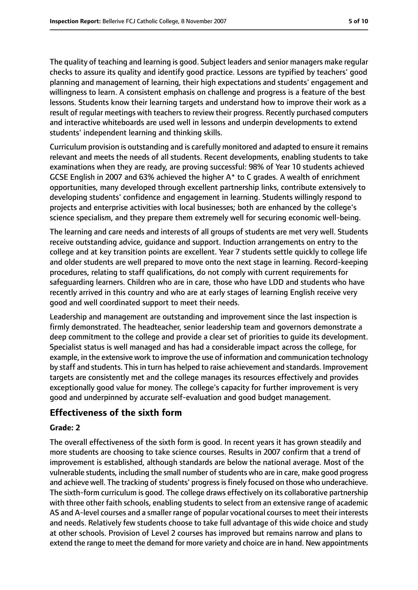The quality of teaching and learning is good. Subject leaders and senior managers make regular checks to assure its quality and identify good practice. Lessons are typified by teachers' good planning and management of learning, their high expectations and students' engagement and willingness to learn. A consistent emphasis on challenge and progress is a feature of the best lessons. Students know their learning targets and understand how to improve their work as a result of regular meetings with teachers to review their progress. Recently purchased computers and interactive whiteboards are used well in lessons and underpin developments to extend students' independent learning and thinking skills.

Curriculum provision is outstanding and is carefully monitored and adapted to ensure it remains relevant and meets the needs of all students. Recent developments, enabling students to take examinations when they are ready, are proving successful: 98% of Year 10 students achieved GCSE English in 2007 and 63% achieved the higher A\* to C grades. A wealth of enrichment opportunities, many developed through excellent partnership links, contribute extensively to developing students' confidence and engagement in learning. Students willingly respond to projects and enterprise activities with local businesses; both are enhanced by the college's science specialism, and they prepare them extremely well for securing economic well-being.

The learning and care needs and interests of all groups of students are met very well. Students receive outstanding advice, guidance and support. Induction arrangements on entry to the college and at key transition points are excellent. Year 7 students settle quickly to college life and older students are well prepared to move onto the next stage in learning. Record-keeping procedures, relating to staff qualifications, do not comply with current requirements for safeguarding learners. Children who are in care, those who have LDD and students who have recently arrived in this country and who are at early stages of learning English receive very good and well coordinated support to meet their needs.

Leadership and management are outstanding and improvement since the last inspection is firmly demonstrated. The headteacher, senior leadership team and governors demonstrate a deep commitment to the college and provide a clear set of priorities to guide its development. Specialist status is well managed and has had a considerable impact across the college, for example, in the extensive work to improve the use of information and communication technology by staff and students. Thisin turn has helped to raise achievement and standards. Improvement targets are consistently met and the college manages its resources effectively and provides exceptionally good value for money. The college's capacity for further improvement is very good and underpinned by accurate self-evaluation and good budget management.

#### **Effectiveness of the sixth form**

#### **Grade: 2**

The overall effectiveness of the sixth form is good. In recent years it has grown steadily and more students are choosing to take science courses. Results in 2007 confirm that a trend of improvement is established, although standards are below the national average. Most of the vulnerable students, including the small number of students who are in care, make good progress and achieve well. The tracking of students' progress is finely focused on those who underachieve. The sixth-form curriculum is good. The college draws effectively on its collaborative partnership with three other faith schools, enabling students to select from an extensive range of academic AS and A-level courses and a smaller range of popular vocational courses to meet their interests and needs. Relatively few students choose to take full advantage of this wide choice and study at other schools. Provision of Level 2 courses has improved but remains narrow and plans to extend the range to meet the demand for more variety and choice are in hand. New appointments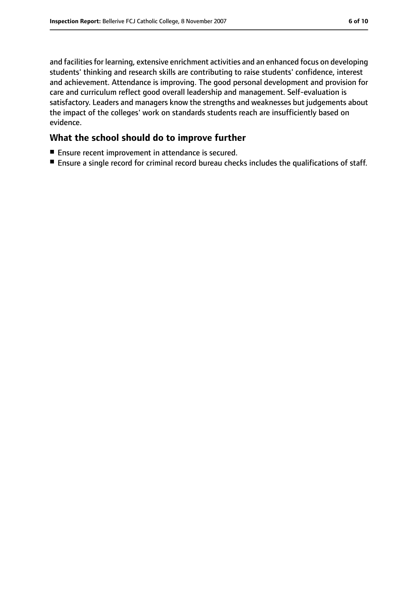and facilities for learning, extensive enrichment activities and an enhanced focus on developing students' thinking and research skills are contributing to raise students' confidence, interest and achievement. Attendance is improving. The good personal development and provision for care and curriculum reflect good overall leadership and management. Self-evaluation is satisfactory. Leaders and managers know the strengths and weaknesses but judgements about the impact of the colleges' work on standards students reach are insufficiently based on evidence.

#### **What the school should do to improve further**

- Ensure recent improvement in attendance is secured.
- Ensure a single record for criminal record bureau checks includes the qualifications of staff.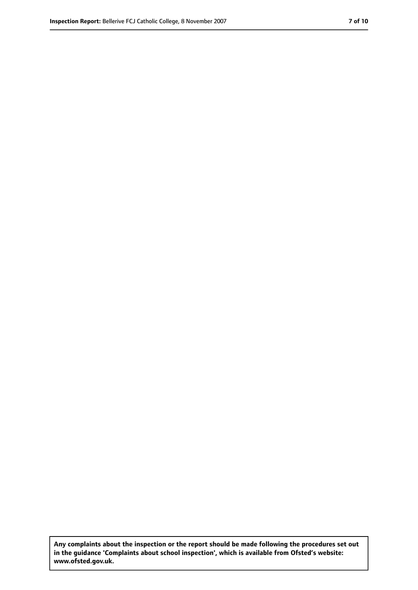**Any complaints about the inspection or the report should be made following the procedures set out in the guidance 'Complaints about school inspection', which is available from Ofsted's website: www.ofsted.gov.uk.**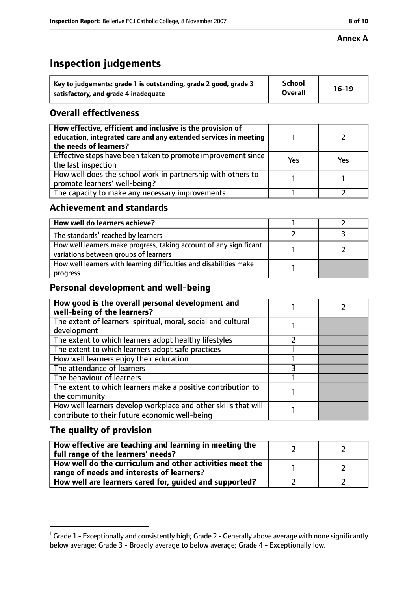# **Inspection judgements**

| Key to judgements: grade 1 is outstanding, grade 2 good, grade 3 | School         | $16-19$ |
|------------------------------------------------------------------|----------------|---------|
| satisfactory, and grade 4 inadequate                             | <b>Overall</b> |         |

#### **Overall effectiveness**

| How effective, efficient and inclusive is the provision of<br>education, integrated care and any extended services in meeting<br>the needs of learners? |     |     |
|---------------------------------------------------------------------------------------------------------------------------------------------------------|-----|-----|
| Effective steps have been taken to promote improvement since<br>the last inspection                                                                     | Yes | Yes |
| How well does the school work in partnership with others to<br>promote learners' well-being?                                                            |     |     |
| The capacity to make any necessary improvements                                                                                                         |     |     |

#### **Achievement and standards**

| How well do learners achieve?                                                                               |  |
|-------------------------------------------------------------------------------------------------------------|--|
| The standards <sup>1</sup> reached by learners                                                              |  |
| How well learners make progress, taking account of any significant<br>variations between groups of learners |  |
| How well learners with learning difficulties and disabilities make<br>progress                              |  |

#### **Personal development and well-being**

| How good is the overall personal development and<br>well-being of the learners? |  |
|---------------------------------------------------------------------------------|--|
| The extent of learners' spiritual, moral, social and cultural                   |  |
| development                                                                     |  |
| The extent to which learners adopt healthy lifestyles                           |  |
| The extent to which learners adopt safe practices                               |  |
| How well learners enjoy their education                                         |  |
| The attendance of learners                                                      |  |
| The behaviour of learners                                                       |  |
| The extent to which learners make a positive contribution to                    |  |
| the community                                                                   |  |
| How well learners develop workplace and other skills that will                  |  |
| contribute to their future economic well-being                                  |  |

## **The quality of provision**

| How effective are teaching and learning in meeting the<br>full range of the learners' needs?          |  |
|-------------------------------------------------------------------------------------------------------|--|
| How well do the curriculum and other activities meet the<br>range of needs and interests of learners? |  |
| How well are learners cared for, guided and supported?                                                |  |

 $^1$  Grade 1 - Exceptionally and consistently high; Grade 2 - Generally above average with none significantly below average; Grade 3 - Broadly average to below average; Grade 4 - Exceptionally low.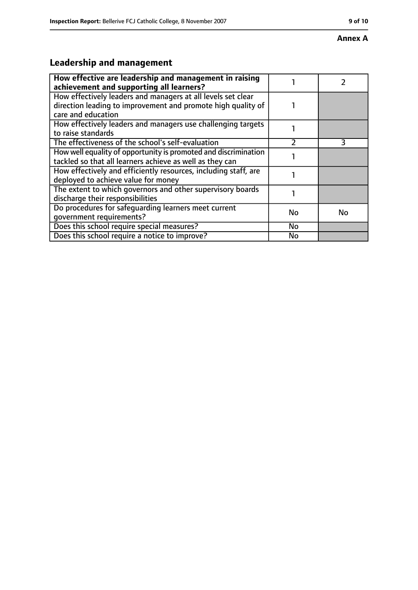#### **Annex A**

# **Leadership and management**

| How effective are leadership and management in raising                                                                                             |    |           |
|----------------------------------------------------------------------------------------------------------------------------------------------------|----|-----------|
| achievement and supporting all learners?                                                                                                           |    |           |
| How effectively leaders and managers at all levels set clear<br>direction leading to improvement and promote high quality of<br>care and education |    |           |
| How effectively leaders and managers use challenging targets<br>to raise standards                                                                 |    |           |
| The effectiveness of the school's self-evaluation                                                                                                  |    | 3         |
| How well equality of opportunity is promoted and discrimination<br>tackled so that all learners achieve as well as they can                        |    |           |
| How effectively and efficiently resources, including staff, are<br>deployed to achieve value for money                                             |    |           |
| The extent to which governors and other supervisory boards<br>discharge their responsibilities                                                     |    |           |
| Do procedures for safeguarding learners meet current<br>qovernment requirements?                                                                   | No | <b>No</b> |
| Does this school require special measures?                                                                                                         | No |           |
| Does this school require a notice to improve?                                                                                                      | No |           |